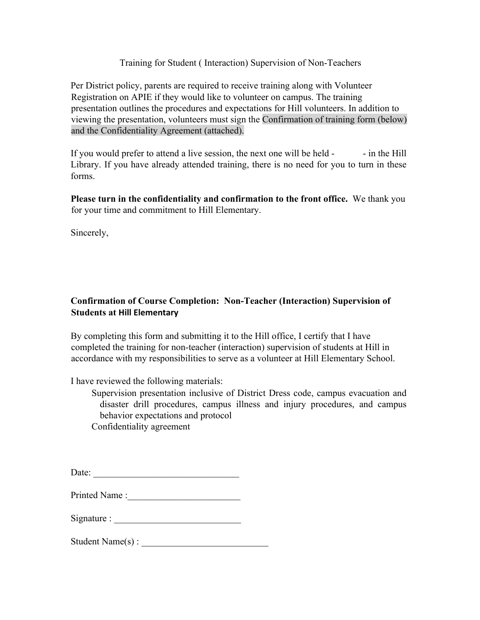## Training for Student ( Interaction) Supervision of Non-Teachers

Per District policy, parents are required to receive training along with Volunteer Registration on APIE if they would like to volunteer on campus. The training presentation outlines the procedures and expectations for Hill volunteers. In addition to viewing the presentation, volunteers must sign the Confirmation of training form (below) and the Confidentiality Agreement (attached).

If you would prefer to attend a live session, the next one will be held - - - in the Hill Library. If you have already attended training, there is no need for you to turn in these forms.

**Please turn in the confidentiality and confirmation to the front office.** We thank you for your time and commitment to Hill Elementary.

Sincerely,

## **Confirmation of Course Completion: Non-Teacher (Interaction) Supervision of Students at Hill Elementary**

By completing this form and submitting it to the Hill office, I certify that I have completed the training for non-teacher (interaction) supervision of students at Hill in accordance with my responsibilities to serve as a volunteer at Hill Elementary School.

I have reviewed the following materials:

Supervision presentation inclusive of District Dress code, campus evacuation and disaster drill procedures, campus illness and injury procedures, and campus behavior expectations and protocol

Confidentiality agreement

| Date: |  |  |  |  |  |  |
|-------|--|--|--|--|--|--|
|       |  |  |  |  |  |  |

| Printed Name: |  |
|---------------|--|
|               |  |

| Signature : |  |
|-------------|--|
|-------------|--|

 $Student Name(s)$ :